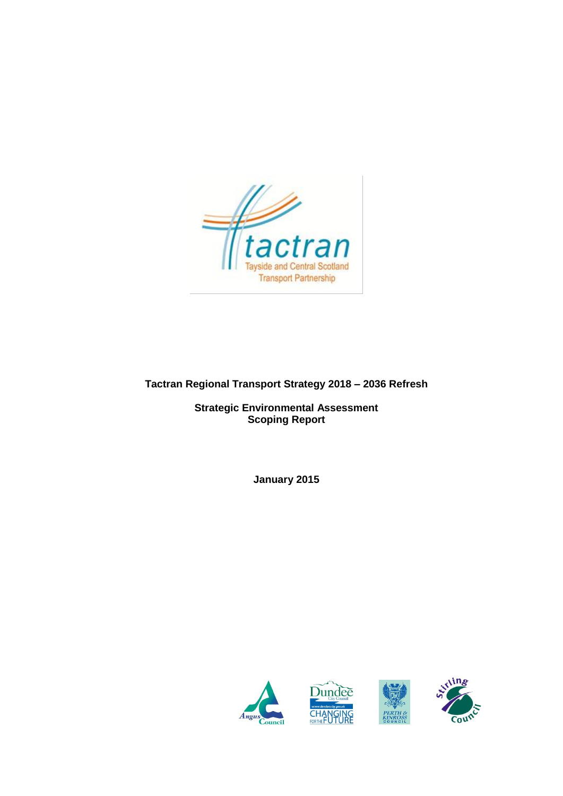

# **Tactran Regional Transport Strategy 2018 – 2036 Refresh**

**Strategic Environmental Assessment Scoping Report**

**January 2015**

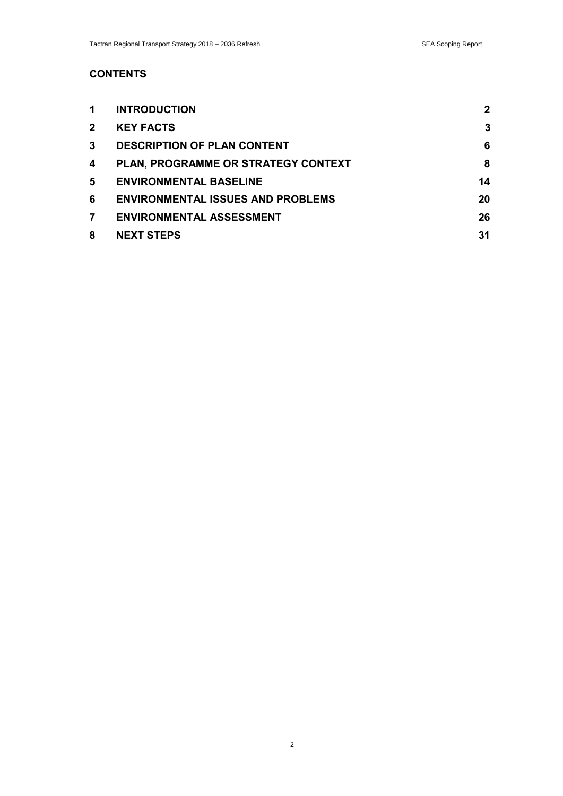# **CONTENTS**

| 1            | <b>INTRODUCTION</b>                      | $\mathbf{2}$ |
|--------------|------------------------------------------|--------------|
| $\mathbf{2}$ | <b>KEY FACTS</b>                         | 3            |
| 3            | <b>DESCRIPTION OF PLAN CONTENT</b>       | 6            |
| 4            | PLAN, PROGRAMME OR STRATEGY CONTEXT      | 8            |
| 5.           | <b>ENVIRONMENTAL BASELINE</b>            | 14           |
| 6            | <b>ENVIRONMENTAL ISSUES AND PROBLEMS</b> | 20           |
| 7            | <b>ENVIRONMENTAL ASSESSMENT</b>          | 26           |
| 8            | <b>NEXT STEPS</b>                        | 31           |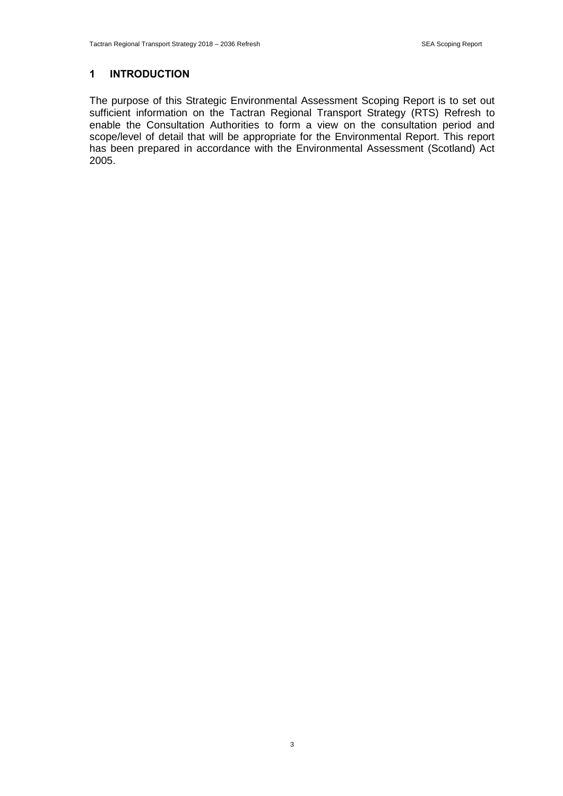### **1 INTRODUCTION**

The purpose of this Strategic Environmental Assessment Scoping Report is to set out sufficient information on the Tactran Regional Transport Strategy (RTS) Refresh to enable the Consultation Authorities to form a view on the consultation period and scope/level of detail that will be appropriate for the Environmental Report. This report has been prepared in accordance with the Environmental Assessment (Scotland) Act 2005.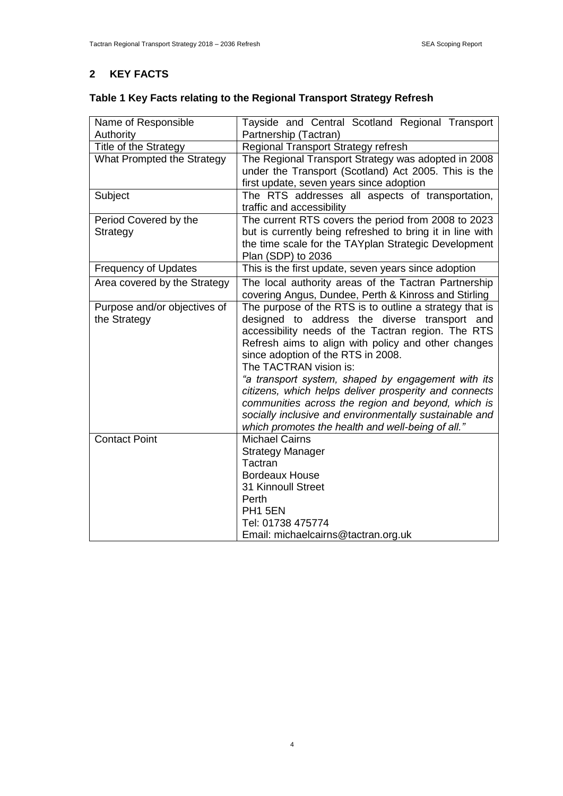# **2 KEY FACTS**

|  | Table 1 Key Facts relating to the Regional Transport Strategy Refresh |
|--|-----------------------------------------------------------------------|
|  |                                                                       |

| Name of Responsible          | Tayside and Central Scotland Regional Transport                                                                                                                                                                                                                                  |  |  |  |
|------------------------------|----------------------------------------------------------------------------------------------------------------------------------------------------------------------------------------------------------------------------------------------------------------------------------|--|--|--|
| Authority                    | Partnership (Tactran)                                                                                                                                                                                                                                                            |  |  |  |
| Title of the Strategy        | Regional Transport Strategy refresh                                                                                                                                                                                                                                              |  |  |  |
| What Prompted the Strategy   | The Regional Transport Strategy was adopted in 2008<br>under the Transport (Scotland) Act 2005. This is the<br>first update, seven years since adoption                                                                                                                          |  |  |  |
| Subject                      | The RTS addresses all aspects of transportation,<br>traffic and accessibility                                                                                                                                                                                                    |  |  |  |
| Period Covered by the        | The current RTS covers the period from 2008 to 2023                                                                                                                                                                                                                              |  |  |  |
| Strategy                     | but is currently being refreshed to bring it in line with<br>the time scale for the TAYplan Strategic Development<br>Plan (SDP) to 2036                                                                                                                                          |  |  |  |
| <b>Frequency of Updates</b>  | This is the first update, seven years since adoption                                                                                                                                                                                                                             |  |  |  |
| Area covered by the Strategy | The local authority areas of the Tactran Partnership<br>covering Angus, Dundee, Perth & Kinross and Stirling                                                                                                                                                                     |  |  |  |
| Purpose and/or objectives of | The purpose of the RTS is to outline a strategy that is                                                                                                                                                                                                                          |  |  |  |
| the Strategy                 | designed to address the diverse transport and<br>accessibility needs of the Tactran region. The RTS<br>Refresh aims to align with policy and other changes<br>since adoption of the RTS in 2008.<br>The TACTRAN vision is:                                                       |  |  |  |
|                              | "a transport system, shaped by engagement with its<br>citizens, which helps deliver prosperity and connects<br>communities across the region and beyond, which is<br>socially inclusive and environmentally sustainable and<br>which promotes the health and well-being of all." |  |  |  |
| <b>Contact Point</b>         | <b>Michael Cairns</b>                                                                                                                                                                                                                                                            |  |  |  |
|                              | <b>Strategy Manager</b>                                                                                                                                                                                                                                                          |  |  |  |
|                              | Tactran                                                                                                                                                                                                                                                                          |  |  |  |
|                              | <b>Bordeaux House</b>                                                                                                                                                                                                                                                            |  |  |  |
|                              | 31 Kinnoull Street                                                                                                                                                                                                                                                               |  |  |  |
|                              | Perth                                                                                                                                                                                                                                                                            |  |  |  |
|                              | PH1 5EN                                                                                                                                                                                                                                                                          |  |  |  |
|                              | Tel: 01738 475774                                                                                                                                                                                                                                                                |  |  |  |
|                              | Email: michaelcairns@tactran.org.uk                                                                                                                                                                                                                                              |  |  |  |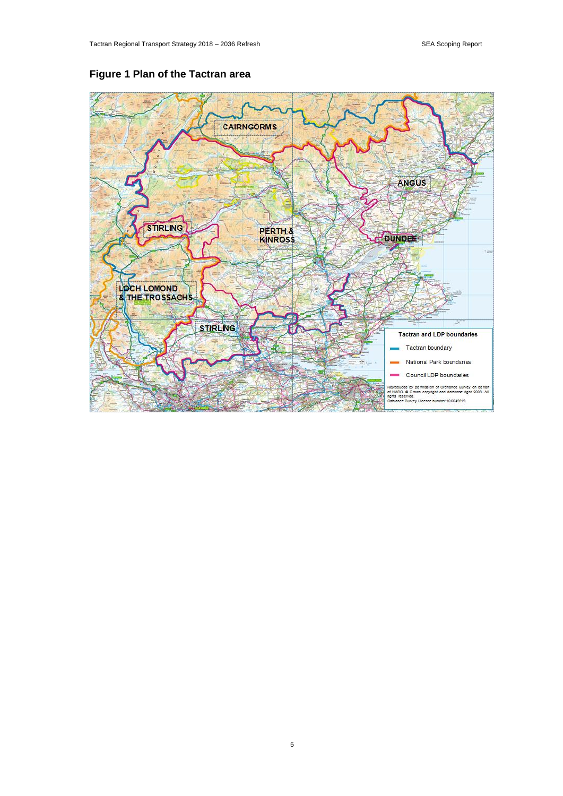

# **Figure 1 Plan of the Tactran area**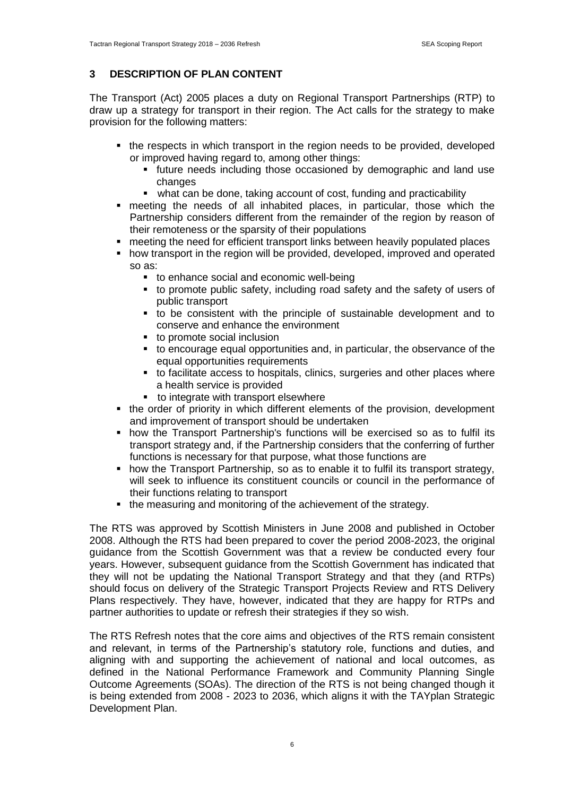### **3 DESCRIPTION OF PLAN CONTENT**

The Transport (Act) 2005 places a duty on Regional Transport Partnerships (RTP) to draw up a strategy for transport in their region. The Act calls for the strategy to make provision for the following matters:

- the respects in which transport in the region needs to be provided, developed or improved having regard to, among other things:
	- future needs including those occasioned by demographic and land use changes
	- what can be done, taking account of cost, funding and practicability
- meeting the needs of all inhabited places, in particular, those which the Partnership considers different from the remainder of the region by reason of their remoteness or the sparsity of their populations
- **•** meeting the need for efficient transport links between heavily populated places
- how transport in the region will be provided, developed, improved and operated so as:
	- **to enhance social and economic well-being**
	- to promote public safety, including road safety and the safety of users of public transport
	- to be consistent with the principle of sustainable development and to conserve and enhance the environment
	- to promote social inclusion
	- to encourage equal opportunities and, in particular, the observance of the equal opportunities requirements
	- to facilitate access to hospitals, clinics, surgeries and other places where a health service is provided
	- **to integrate with transport elsewhere**
- the order of priority in which different elements of the provision, development and improvement of transport should be undertaken
- how the Transport Partnership's functions will be exercised so as to fulfil its transport strategy and, if the Partnership considers that the conferring of further functions is necessary for that purpose, what those functions are
- how the Transport Partnership, so as to enable it to fulfil its transport strategy, will seek to influence its constituent councils or council in the performance of their functions relating to transport
- the measuring and monitoring of the achievement of the strategy.

The RTS was approved by Scottish Ministers in June 2008 and published in October 2008. Although the RTS had been prepared to cover the period 2008-2023, the original guidance from the Scottish Government was that a review be conducted every four years. However, subsequent guidance from the Scottish Government has indicated that they will not be updating the National Transport Strategy and that they (and RTPs) should focus on delivery of the Strategic Transport Projects Review and RTS Delivery Plans respectively. They have, however, indicated that they are happy for RTPs and partner authorities to update or refresh their strategies if they so wish.

The RTS Refresh notes that the core aims and objectives of the RTS remain consistent and relevant, in terms of the Partnership's statutory role, functions and duties, and aligning with and supporting the achievement of national and local outcomes, as defined in the National Performance Framework and Community Planning Single Outcome Agreements (SOAs). The direction of the RTS is not being changed though it is being extended from 2008 - 2023 to 2036, which aligns it with the TAYplan Strategic Development Plan.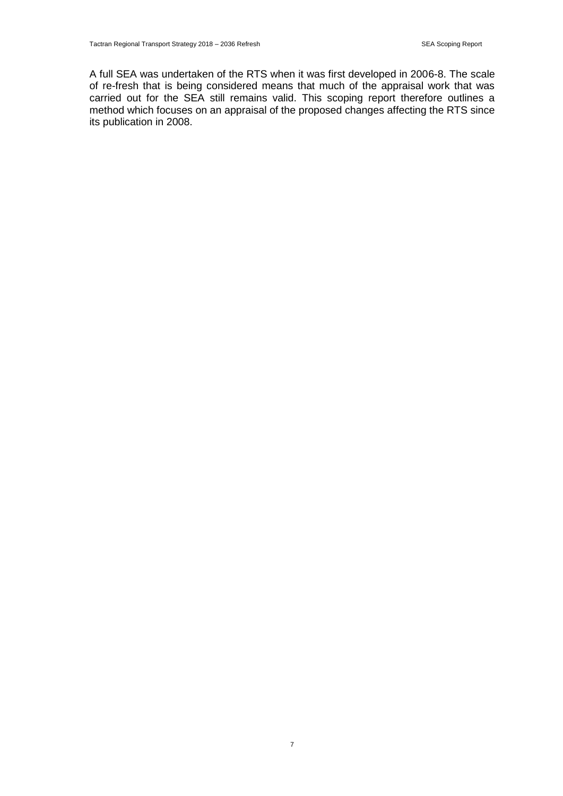A full SEA was undertaken of the RTS when it was first developed in 2006-8. The scale of re-fresh that is being considered means that much of the appraisal work that was carried out for the SEA still remains valid. This scoping report therefore outlines a method which focuses on an appraisal of the proposed changes affecting the RTS since its publication in 2008.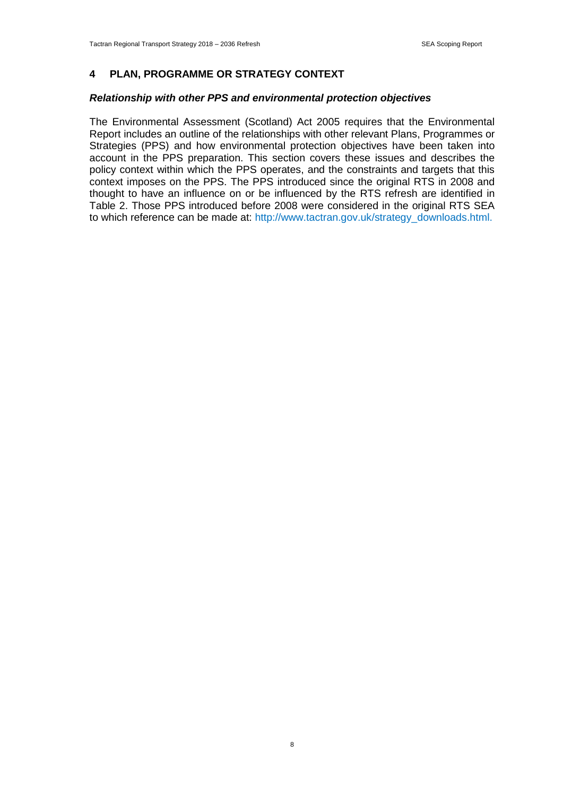#### **4 PLAN, PROGRAMME OR STRATEGY CONTEXT**

#### *Relationship with other PPS and environmental protection objectives*

The Environmental Assessment (Scotland) Act 2005 requires that the Environmental Report includes an outline of the relationships with other relevant Plans, Programmes or Strategies (PPS) and how environmental protection objectives have been taken into account in the PPS preparation. This section covers these issues and describes the policy context within which the PPS operates, and the constraints and targets that this context imposes on the PPS. The PPS introduced since the original RTS in 2008 and thought to have an influence on or be influenced by the RTS refresh are identified in Table 2. Those PPS introduced before 2008 were considered in the original RTS SEA to which reference can be made at: http://www.tactran.gov.uk/strategy\_downloads.html.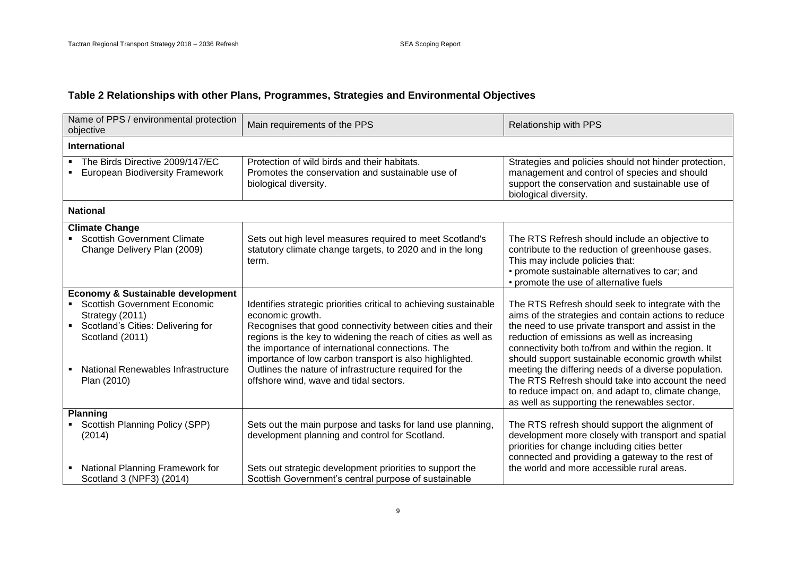# **Table 2 Relationships with other Plans, Programmes, Strategies and Environmental Objectives**

| Name of PPS / environmental protection<br>objective                                                                                                                                                                 | Main requirements of the PPS                                                                                                                                                                                                                                                                                                                                                                                                            | Relationship with PPS                                                                                                                                                                                                                                                                                                                                                                                                                                                                                                                           |
|---------------------------------------------------------------------------------------------------------------------------------------------------------------------------------------------------------------------|-----------------------------------------------------------------------------------------------------------------------------------------------------------------------------------------------------------------------------------------------------------------------------------------------------------------------------------------------------------------------------------------------------------------------------------------|-------------------------------------------------------------------------------------------------------------------------------------------------------------------------------------------------------------------------------------------------------------------------------------------------------------------------------------------------------------------------------------------------------------------------------------------------------------------------------------------------------------------------------------------------|
| <b>International</b>                                                                                                                                                                                                |                                                                                                                                                                                                                                                                                                                                                                                                                                         |                                                                                                                                                                                                                                                                                                                                                                                                                                                                                                                                                 |
| • The Birds Directive 2009/147/EC<br><b>European Biodiversity Framework</b>                                                                                                                                         | Protection of wild birds and their habitats.<br>Promotes the conservation and sustainable use of<br>biological diversity.                                                                                                                                                                                                                                                                                                               | Strategies and policies should not hinder protection,<br>management and control of species and should<br>support the conservation and sustainable use of<br>biological diversity.                                                                                                                                                                                                                                                                                                                                                               |
| <b>National</b>                                                                                                                                                                                                     |                                                                                                                                                                                                                                                                                                                                                                                                                                         |                                                                                                                                                                                                                                                                                                                                                                                                                                                                                                                                                 |
| <b>Climate Change</b><br>• Scottish Government Climate<br>Change Delivery Plan (2009)                                                                                                                               | Sets out high level measures required to meet Scotland's<br>statutory climate change targets, to 2020 and in the long<br>term.                                                                                                                                                                                                                                                                                                          | The RTS Refresh should include an objective to<br>contribute to the reduction of greenhouse gases.<br>This may include policies that:<br>• promote sustainable alternatives to car; and<br>• promote the use of alternative fuels                                                                                                                                                                                                                                                                                                               |
| <b>Economy &amp; Sustainable development</b><br><b>Scottish Government Economic</b><br>Strategy (2011)<br>Scotland's Cities: Delivering for<br>Scotland (2011)<br>National Renewables Infrastructure<br>Plan (2010) | Identifies strategic priorities critical to achieving sustainable<br>economic growth.<br>Recognises that good connectivity between cities and their<br>regions is the key to widening the reach of cities as well as<br>the importance of international connections. The<br>importance of low carbon transport is also highlighted.<br>Outlines the nature of infrastructure required for the<br>offshore wind, wave and tidal sectors. | The RTS Refresh should seek to integrate with the<br>aims of the strategies and contain actions to reduce<br>the need to use private transport and assist in the<br>reduction of emissions as well as increasing<br>connectivity both to/from and within the region. It<br>should support sustainable economic growth whilst<br>meeting the differing needs of a diverse population.<br>The RTS Refresh should take into account the need<br>to reduce impact on, and adapt to, climate change,<br>as well as supporting the renewables sector. |
| <b>Planning</b><br>• Scottish Planning Policy (SPP)<br>(2014)<br>National Planning Framework for<br>Scotland 3 (NPF3) (2014)                                                                                        | Sets out the main purpose and tasks for land use planning,<br>development planning and control for Scotland.<br>Sets out strategic development priorities to support the<br>Scottish Government's central purpose of sustainable                                                                                                                                                                                                        | The RTS refresh should support the alignment of<br>development more closely with transport and spatial<br>priorities for change including cities better<br>connected and providing a gateway to the rest of<br>the world and more accessible rural areas.                                                                                                                                                                                                                                                                                       |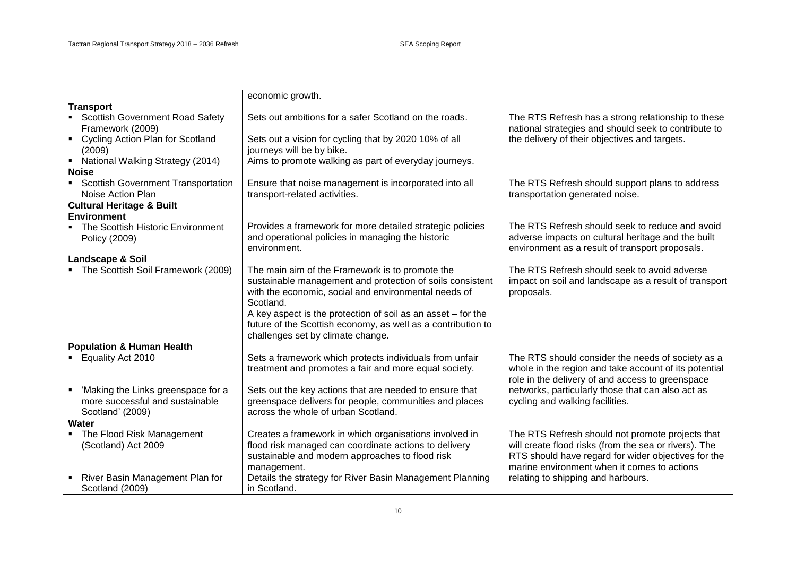|                                                             | economic growth.                                             |                                                       |
|-------------------------------------------------------------|--------------------------------------------------------------|-------------------------------------------------------|
| <b>Transport</b>                                            |                                                              |                                                       |
| • Scottish Government Road Safety                           | Sets out ambitions for a safer Scotland on the roads.        | The RTS Refresh has a strong relationship to these    |
| Framework (2009)                                            |                                                              | national strategies and should seek to contribute to  |
| <b>Cycling Action Plan for Scotland</b><br>$\blacksquare$ . | Sets out a vision for cycling that by 2020 10% of all        | the delivery of their objectives and targets.         |
| (2009)                                                      | journeys will be by bike.                                    |                                                       |
| • National Walking Strategy (2014)                          | Aims to promote walking as part of everyday journeys.        |                                                       |
| <b>Noise</b>                                                |                                                              |                                                       |
| • Scottish Government Transportation                        | Ensure that noise management is incorporated into all        | The RTS Refresh should support plans to address       |
| Noise Action Plan                                           | transport-related activities.                                | transportation generated noise.                       |
| <b>Cultural Heritage &amp; Built</b>                        |                                                              |                                                       |
| <b>Environment</b>                                          |                                                              |                                                       |
| • The Scottish Historic Environment                         | Provides a framework for more detailed strategic policies    | The RTS Refresh should seek to reduce and avoid       |
| Policy (2009)                                               | and operational policies in managing the historic            | adverse impacts on cultural heritage and the built    |
|                                                             | environment.                                                 | environment as a result of transport proposals.       |
| Landscape & Soil                                            |                                                              |                                                       |
| • The Scottish Soil Framework (2009)                        | The main aim of the Framework is to promote the              | The RTS Refresh should seek to avoid adverse          |
|                                                             | sustainable management and protection of soils consistent    | impact on soil and landscape as a result of transport |
|                                                             | with the economic, social and environmental needs of         | proposals.                                            |
|                                                             | Scotland.                                                    |                                                       |
|                                                             | A key aspect is the protection of soil as an asset – for the |                                                       |
|                                                             | future of the Scottish economy, as well as a contribution to |                                                       |
|                                                             | challenges set by climate change.                            |                                                       |
| <b>Population &amp; Human Health</b>                        |                                                              |                                                       |
| • Equality Act 2010                                         | Sets a framework which protects individuals from unfair      | The RTS should consider the needs of society as a     |
|                                                             | treatment and promotes a fair and more equal society.        | whole in the region and take account of its potential |
|                                                             |                                                              | role in the delivery of and access to greenspace      |
| 'Making the Links greenspace for a<br>$\blacksquare$        | Sets out the key actions that are needed to ensure that      | networks, particularly those that can also act as     |
| more successful and sustainable                             | greenspace delivers for people, communities and places       | cycling and walking facilities.                       |
| Scotland' (2009)                                            | across the whole of urban Scotland.                          |                                                       |
| Water                                                       |                                                              |                                                       |
| • The Flood Risk Management                                 | Creates a framework in which organisations involved in       | The RTS Refresh should not promote projects that      |
| (Scotland) Act 2009                                         | flood risk managed can coordinate actions to delivery        | will create flood risks (from the sea or rivers). The |
|                                                             | sustainable and modern approaches to flood risk              | RTS should have regard for wider objectives for the   |
|                                                             | management.                                                  | marine environment when it comes to actions           |
| River Basin Management Plan for<br>$\blacksquare$           | Details the strategy for River Basin Management Planning     | relating to shipping and harbours.                    |
| Scotland (2009)                                             | in Scotland.                                                 |                                                       |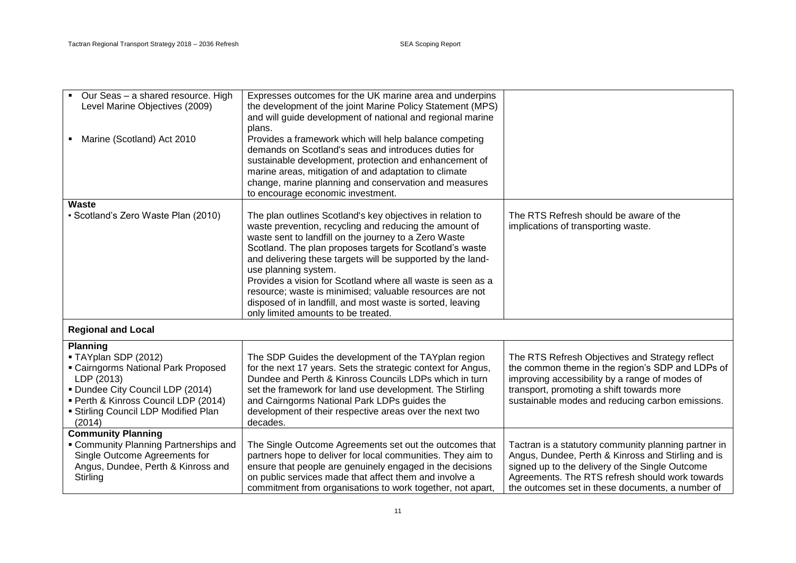| • Our Seas - a shared resource. High<br>Level Marine Objectives (2009)                                                                                                                                                   | Expresses outcomes for the UK marine area and underpins<br>the development of the joint Marine Policy Statement (MPS)<br>and will guide development of national and regional marine<br>plans.                                                                                                                                                                                                                                                                                                                                                                    |                                                                                                                                                                                                                                                                      |
|--------------------------------------------------------------------------------------------------------------------------------------------------------------------------------------------------------------------------|------------------------------------------------------------------------------------------------------------------------------------------------------------------------------------------------------------------------------------------------------------------------------------------------------------------------------------------------------------------------------------------------------------------------------------------------------------------------------------------------------------------------------------------------------------------|----------------------------------------------------------------------------------------------------------------------------------------------------------------------------------------------------------------------------------------------------------------------|
| • Marine (Scotland) Act 2010                                                                                                                                                                                             | Provides a framework which will help balance competing<br>demands on Scotland's seas and introduces duties for<br>sustainable development, protection and enhancement of<br>marine areas, mitigation of and adaptation to climate<br>change, marine planning and conservation and measures<br>to encourage economic investment.                                                                                                                                                                                                                                  |                                                                                                                                                                                                                                                                      |
| <b>Waste</b>                                                                                                                                                                                                             |                                                                                                                                                                                                                                                                                                                                                                                                                                                                                                                                                                  |                                                                                                                                                                                                                                                                      |
| · Scotland's Zero Waste Plan (2010)                                                                                                                                                                                      | The plan outlines Scotland's key objectives in relation to<br>waste prevention, recycling and reducing the amount of<br>waste sent to landfill on the journey to a Zero Waste<br>Scotland. The plan proposes targets for Scotland's waste<br>and delivering these targets will be supported by the land-<br>use planning system.<br>Provides a vision for Scotland where all waste is seen as a<br>resource; waste is minimised; valuable resources are not<br>disposed of in landfill, and most waste is sorted, leaving<br>only limited amounts to be treated. | The RTS Refresh should be aware of the<br>implications of transporting waste.                                                                                                                                                                                        |
| <b>Regional and Local</b>                                                                                                                                                                                                |                                                                                                                                                                                                                                                                                                                                                                                                                                                                                                                                                                  |                                                                                                                                                                                                                                                                      |
| <b>Planning</b>                                                                                                                                                                                                          |                                                                                                                                                                                                                                                                                                                                                                                                                                                                                                                                                                  |                                                                                                                                                                                                                                                                      |
| ■ TAYplan SDP (2012)<br><b>Cairngorms National Park Proposed</b><br>LDP (2013)<br><b>- Dundee City Council LDP (2014)</b><br>· Perth & Kinross Council LDP (2014)<br><b>Stirling Council LDP Modified Plan</b><br>(2014) | The SDP Guides the development of the TAYplan region<br>for the next 17 years. Sets the strategic context for Angus,<br>Dundee and Perth & Kinross Councils LDPs which in turn<br>set the framework for land use development. The Stirling<br>and Cairngorms National Park LDPs guides the<br>development of their respective areas over the next two<br>decades.                                                                                                                                                                                                | The RTS Refresh Objectives and Strategy reflect<br>the common theme in the region's SDP and LDPs of<br>improving accessibility by a range of modes of<br>transport, promoting a shift towards more<br>sustainable modes and reducing carbon emissions.               |
| <b>Community Planning</b>                                                                                                                                                                                                |                                                                                                                                                                                                                                                                                                                                                                                                                                                                                                                                                                  |                                                                                                                                                                                                                                                                      |
| <b>Community Planning Partnerships and</b><br>Single Outcome Agreements for<br>Angus, Dundee, Perth & Kinross and<br>Stirling                                                                                            | The Single Outcome Agreements set out the outcomes that<br>partners hope to deliver for local communities. They aim to<br>ensure that people are genuinely engaged in the decisions<br>on public services made that affect them and involve a<br>commitment from organisations to work together, not apart,                                                                                                                                                                                                                                                      | Tactran is a statutory community planning partner in<br>Angus, Dundee, Perth & Kinross and Stirling and is<br>signed up to the delivery of the Single Outcome<br>Agreements. The RTS refresh should work towards<br>the outcomes set in these documents, a number of |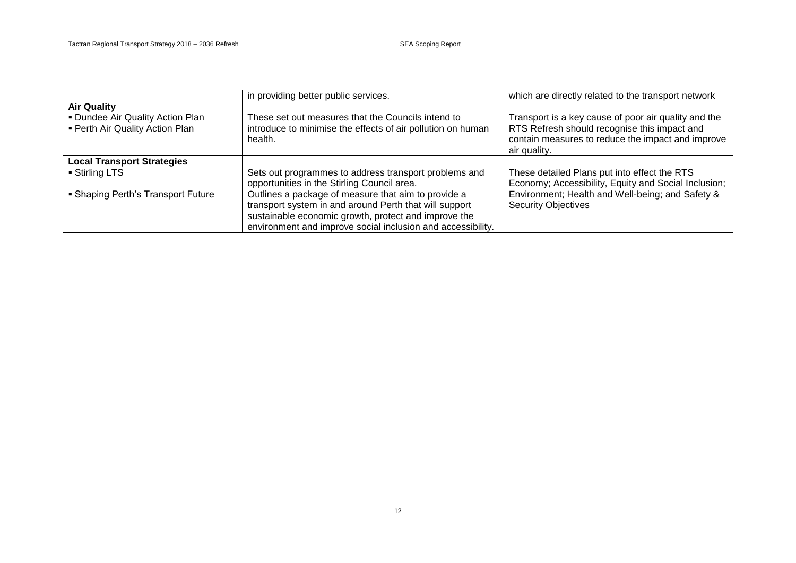|                                                                                           | in providing better public services.                                                                                                                                                                                                                                                                                                         | which are directly related to the transport network                                                                                                                                    |
|-------------------------------------------------------------------------------------------|----------------------------------------------------------------------------------------------------------------------------------------------------------------------------------------------------------------------------------------------------------------------------------------------------------------------------------------------|----------------------------------------------------------------------------------------------------------------------------------------------------------------------------------------|
| <b>Air Quality</b><br>• Dundee Air Quality Action Plan<br>• Perth Air Quality Action Plan | These set out measures that the Councils intend to<br>introduce to minimise the effects of air pollution on human<br>health.                                                                                                                                                                                                                 | Transport is a key cause of poor air quality and the<br>RTS Refresh should recognise this impact and<br>contain measures to reduce the impact and improve<br>air quality.              |
| <b>Local Transport Strategies</b><br>■ Stirling LTS<br>• Shaping Perth's Transport Future | Sets out programmes to address transport problems and<br>opportunities in the Stirling Council area.<br>Outlines a package of measure that aim to provide a<br>transport system in and around Perth that will support<br>sustainable economic growth, protect and improve the<br>environment and improve social inclusion and accessibility. | These detailed Plans put into effect the RTS<br>Economy; Accessibility, Equity and Social Inclusion;<br>Environment; Health and Well-being; and Safety &<br><b>Security Objectives</b> |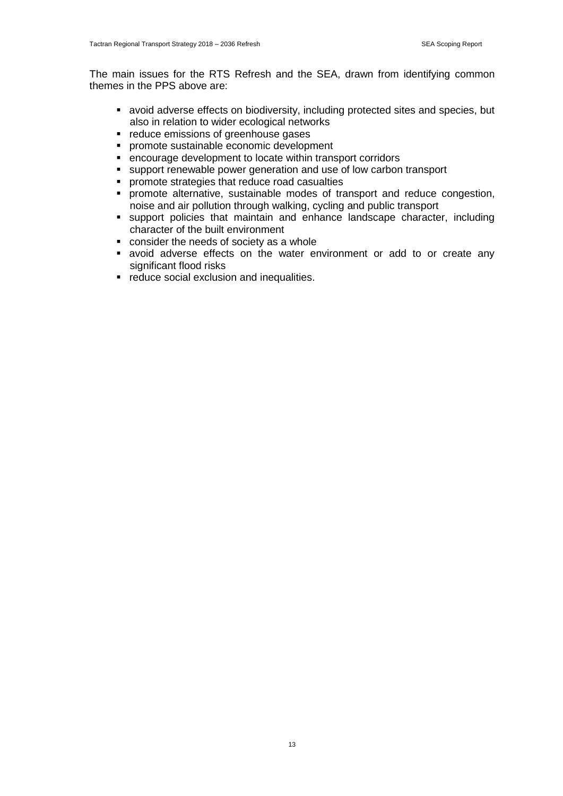The main issues for the RTS Refresh and the SEA, drawn from identifying common themes in the PPS above are:

- avoid adverse effects on biodiversity, including protected sites and species, but also in relation to wider ecological networks
- **•** reduce emissions of greenhouse gases
- **PEDROOF SUSTAINABLE ECONOMIC development**
- encourage development to locate within transport corridors
- support renewable power generation and use of low carbon transport
- promote strategies that reduce road casualties
- **•** promote alternative, sustainable modes of transport and reduce congestion, noise and air pollution through walking, cycling and public transport
- support policies that maintain and enhance landscape character, including character of the built environment
- consider the needs of society as a whole
- avoid adverse effects on the water environment or add to or create any significant flood risks
- **•** reduce social exclusion and inequalities.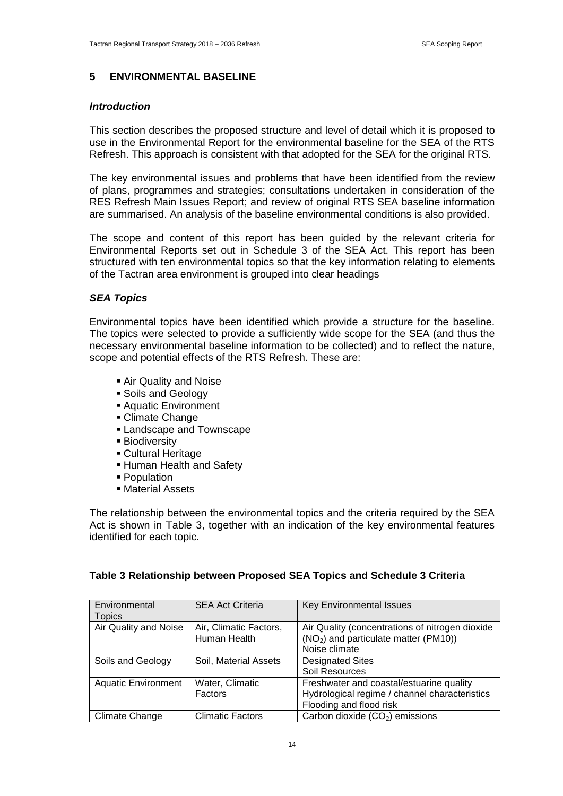#### **5 ENVIRONMENTAL BASELINE**

#### *Introduction*

This section describes the proposed structure and level of detail which it is proposed to use in the Environmental Report for the environmental baseline for the SEA of the RTS Refresh. This approach is consistent with that adopted for the SEA for the original RTS.

The key environmental issues and problems that have been identified from the review of plans, programmes and strategies; consultations undertaken in consideration of the RES Refresh Main Issues Report; and review of original RTS SEA baseline information are summarised. An analysis of the baseline environmental conditions is also provided.

The scope and content of this report has been guided by the relevant criteria for Environmental Reports set out in Schedule 3 of the SEA Act. This report has been structured with ten environmental topics so that the key information relating to elements of the Tactran area environment is grouped into clear headings

#### *SEA Topics*

Environmental topics have been identified which provide a structure for the baseline. The topics were selected to provide a sufficiently wide scope for the SEA (and thus the necessary environmental baseline information to be collected) and to reflect the nature, scope and potential effects of the RTS Refresh. These are:

- Air Quality and Noise
- **Soils and Geology**
- Aquatic Environment
- Climate Change
- **Landscape and Townscape**
- **Biodiversity**
- Cultural Heritage
- **Human Health and Safety**
- **Population**
- Material Assets

The relationship between the environmental topics and the criteria required by the SEA Act is shown in Table 3, together with an indication of the key environmental features identified for each topic.

| Environmental              | <b>SEA Act Criteria</b> | <b>Key Environmental Issues</b>                   |
|----------------------------|-------------------------|---------------------------------------------------|
| <b>Topics</b>              |                         |                                                   |
| Air Quality and Noise      | Air, Climatic Factors,  | Air Quality (concentrations of nitrogen dioxide   |
|                            | Human Health            | (NO <sub>2</sub> ) and particulate matter (PM10)) |
|                            |                         | Noise climate                                     |
| Soils and Geology          | Soil, Material Assets   | <b>Designated Sites</b>                           |
|                            |                         | Soil Resources                                    |
| <b>Aquatic Environment</b> | Water, Climatic         | Freshwater and coastal/estuarine quality          |
|                            | Factors                 | Hydrological regime / channel characteristics     |
|                            |                         | Flooding and flood risk                           |
| Climate Change             | <b>Climatic Factors</b> | Carbon dioxide (CO <sub>2</sub> ) emissions       |

#### **Table 3 Relationship between Proposed SEA Topics and Schedule 3 Criteria**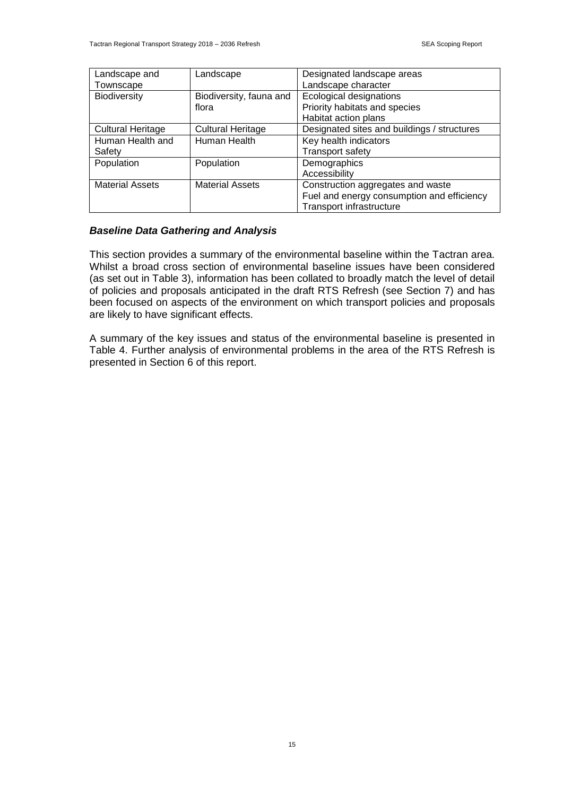| Landscape and            | Landscape                | Designated landscape areas                  |  |
|--------------------------|--------------------------|---------------------------------------------|--|
| Townscape                |                          | Landscape character                         |  |
| <b>Biodiversity</b>      | Biodiversity, fauna and  | Ecological designations                     |  |
|                          | flora                    | Priority habitats and species               |  |
|                          |                          | Habitat action plans                        |  |
| <b>Cultural Heritage</b> | <b>Cultural Heritage</b> | Designated sites and buildings / structures |  |
| Human Health and         | Human Health             | Key health indicators                       |  |
| Safety                   |                          | Transport safety                            |  |
| Population               | Population               | Demographics                                |  |
|                          |                          | Accessibility                               |  |
| <b>Material Assets</b>   | <b>Material Assets</b>   | Construction aggregates and waste           |  |
|                          |                          | Fuel and energy consumption and efficiency  |  |
|                          |                          | <b>Transport infrastructure</b>             |  |

### *Baseline Data Gathering and Analysis*

This section provides a summary of the environmental baseline within the Tactran area. Whilst a broad cross section of environmental baseline issues have been considered (as set out in Table 3), information has been collated to broadly match the level of detail of policies and proposals anticipated in the draft RTS Refresh (see Section 7) and has been focused on aspects of the environment on which transport policies and proposals are likely to have significant effects.

A summary of the key issues and status of the environmental baseline is presented in Table 4. Further analysis of environmental problems in the area of the RTS Refresh is presented in Section 6 of this report.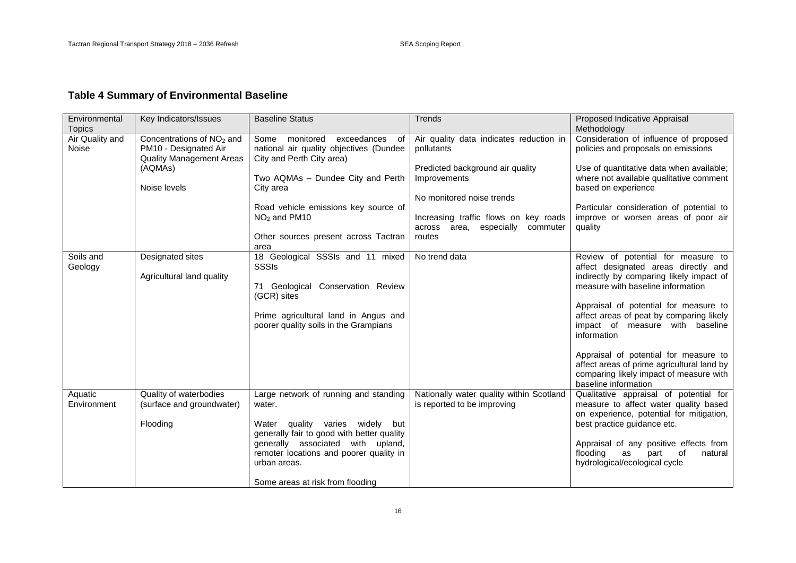# **Table 4 Summary of Environmental Baseline**

| Environmental<br><b>Topics</b>  | Key Indicators/Issues                                                                                                        | <b>Baseline Status</b>                                                                                                                                                                                                                                                  | Trends                                                                                                                                                                                                                           | Proposed Indicative Appraisal<br>Methodology                                                                                                                                                                                                                                                                                                                                                                                                                 |
|---------------------------------|------------------------------------------------------------------------------------------------------------------------------|-------------------------------------------------------------------------------------------------------------------------------------------------------------------------------------------------------------------------------------------------------------------------|----------------------------------------------------------------------------------------------------------------------------------------------------------------------------------------------------------------------------------|--------------------------------------------------------------------------------------------------------------------------------------------------------------------------------------------------------------------------------------------------------------------------------------------------------------------------------------------------------------------------------------------------------------------------------------------------------------|
| Air Quality and<br><b>Noise</b> | Concentrations of NO <sub>2</sub> and<br>PM10 - Designated Air<br><b>Quality Management Areas</b><br>(AQMAs)<br>Noise levels | Some monitored<br>exceedances<br>of<br>national air quality objectives (Dundee<br>City and Perth City area)<br>Two AQMAs - Dundee City and Perth<br>City area<br>Road vehicle emissions key source of<br>$NO2$ and PM10<br>Other sources present across Tactran<br>area | Air quality data indicates reduction in<br>pollutants<br>Predicted background air quality<br>Improvements<br>No monitored noise trends<br>Increasing traffic flows on key roads<br>across area, especially<br>commuter<br>routes | Consideration of influence of proposed<br>policies and proposals on emissions<br>Use of quantitative data when available;<br>where not available qualitative comment<br>based on experience<br>Particular consideration of potential to<br>improve or worsen areas of poor air<br>quality                                                                                                                                                                    |
| Soils and<br>Geology            | Designated sites<br>Agricultural land quality                                                                                | 18 Geological SSSIs and 11 mixed<br><b>SSSIs</b><br>71 Geological Conservation Review<br>(GCR) sites<br>Prime agricultural land in Angus and<br>poorer quality soils in the Grampians                                                                                   | No trend data                                                                                                                                                                                                                    | Review of potential for measure to<br>affect designated areas directly and<br>indirectly by comparing likely impact of<br>measure with baseline information<br>Appraisal of potential for measure to<br>affect areas of peat by comparing likely<br>impact of measure with baseline<br>information<br>Appraisal of potential for measure to<br>affect areas of prime agricultural land by<br>comparing likely impact of measure with<br>baseline information |
| Aquatic<br>Environment          | Quality of waterbodies<br>(surface and groundwater)<br>Flooding                                                              | Large network of running and standing<br>water.<br>Water quality varies widely but<br>generally fair to good with better quality<br>generally associated with upland,<br>remoter locations and poorer quality in<br>urban areas.<br>Some areas at risk from flooding    | Nationally water quality within Scotland<br>is reported to be improving                                                                                                                                                          | Qualitative appraisal of potential for<br>measure to affect water quality based<br>on experience, potential for mitigation,<br>best practice guidance etc.<br>Appraisal of any positive effects from<br>flooding<br>as<br>0f<br>part<br>natural<br>hydrological/ecological cycle                                                                                                                                                                             |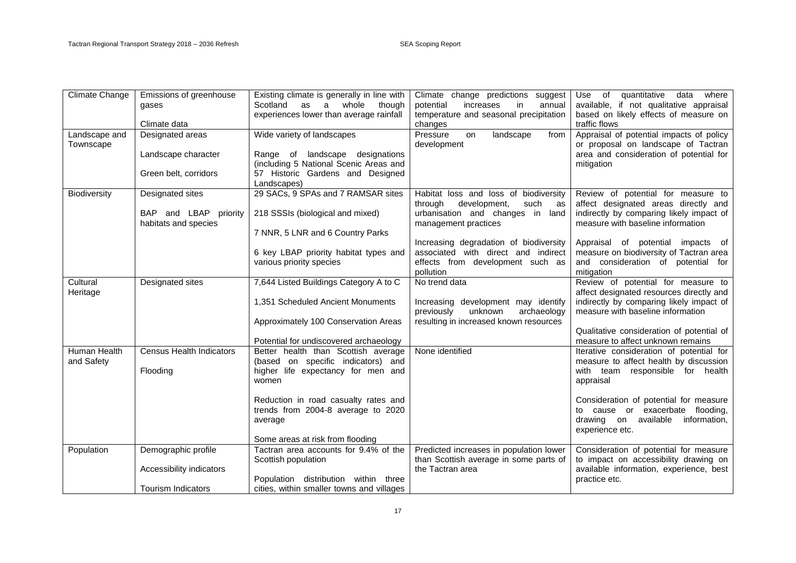| Climate Change      | Emissions of greenhouse         | Existing climate is generally in line with                                | Climate change predictions suggest                         | quantitative<br>Use of<br>data<br>where                                         |
|---------------------|---------------------------------|---------------------------------------------------------------------------|------------------------------------------------------------|---------------------------------------------------------------------------------|
|                     | gases                           | Scotland<br>whole<br>as<br>a<br>though                                    | in<br>potential<br>increases<br>annual                     | available, if not qualitative appraisal                                         |
|                     |                                 | experiences lower than average rainfall                                   | temperature and seasonal precipitation                     | based on likely effects of measure on                                           |
|                     | Climate data                    |                                                                           | changes                                                    | traffic flows                                                                   |
| Landscape and       | Designated areas                | Wide variety of landscapes                                                | Pressure<br>on<br>landscape<br>from                        | Appraisal of potential impacts of policy                                        |
| Townscape           |                                 |                                                                           | development                                                | or proposal on landscape of Tactran                                             |
|                     | Landscape character             | Range of landscape designations                                           |                                                            | area and consideration of potential for                                         |
|                     |                                 | (including 5 National Scenic Areas and                                    |                                                            | mitigation                                                                      |
|                     | Green belt, corridors           | 57 Historic Gardens and Designed                                          |                                                            |                                                                                 |
|                     |                                 | Landscapes)                                                               |                                                            |                                                                                 |
| <b>Biodiversity</b> | Designated sites                | 29 SACs, 9 SPAs and 7 RAMSAR sites                                        | Habitat loss and loss of biodiversity                      | Review of potential for measure to                                              |
|                     |                                 |                                                                           | through<br>development,<br>such<br>as                      | affect designated areas directly and                                            |
|                     | BAP and LBAP priority           | 218 SSSIs (biological and mixed)                                          | urbanisation and changes in<br>land                        | indirectly by comparing likely impact of                                        |
|                     | habitats and species            | 7 NNR, 5 LNR and 6 Country Parks                                          | management practices                                       | measure with baseline information                                               |
|                     |                                 |                                                                           | Increasing degradation of biodiversity                     | Appraisal of potential impacts of                                               |
|                     |                                 | 6 key LBAP priority habitat types and                                     | associated with direct and indirect                        | measure on biodiversity of Tactran area                                         |
|                     |                                 | various priority species                                                  | effects from development such as                           | and consideration of potential for                                              |
|                     |                                 |                                                                           | pollution                                                  | mitigation                                                                      |
| Cultural            | Designated sites                | 7,644 Listed Buildings Category A to C                                    | No trend data                                              | Review of potential for measure to                                              |
| Heritage            |                                 |                                                                           |                                                            | affect designated resources directly and                                        |
|                     |                                 | 1,351 Scheduled Ancient Monuments                                         | Increasing development may identify                        | indirectly by comparing likely impact of                                        |
|                     |                                 |                                                                           | unknown<br>previously<br>archaeology                       | measure with baseline information                                               |
|                     |                                 | Approximately 100 Conservation Areas                                      | resulting in increased known resources                     |                                                                                 |
|                     |                                 |                                                                           |                                                            | Qualitative consideration of potential of                                       |
|                     |                                 | Potential for undiscovered archaeology                                    |                                                            | measure to affect unknown remains                                               |
| Human Health        | <b>Census Health Indicators</b> | Better health than Scottish average                                       | None identified                                            | Iterative consideration of potential for                                        |
| and Safety          |                                 | (based on specific indicators) and                                        |                                                            | measure to affect health by discussion                                          |
|                     | Flooding                        | higher life expectancy for men and                                        |                                                            | with team responsible for health                                                |
|                     |                                 | women                                                                     |                                                            | appraisal                                                                       |
|                     |                                 |                                                                           |                                                            |                                                                                 |
|                     |                                 | Reduction in road casualty rates and                                      |                                                            | Consideration of potential for measure                                          |
|                     |                                 | trends from 2004-8 average to 2020                                        |                                                            | to cause or exacerbate<br>flooding,                                             |
|                     |                                 | average                                                                   |                                                            | drawing on<br>available<br>information,                                         |
|                     |                                 |                                                                           |                                                            | experience etc.                                                                 |
|                     |                                 | Some areas at risk from flooding<br>Tactran area accounts for 9.4% of the |                                                            |                                                                                 |
| Population          | Demographic profile             |                                                                           | Predicted increases in population lower                    | Consideration of potential for measure<br>to impact on accessibility drawing on |
|                     | Accessibility indicators        | Scottish population                                                       | than Scottish average in some parts of<br>the Tactran area | available information, experience, best                                         |
|                     |                                 | Population distribution within<br>three                                   |                                                            | practice etc.                                                                   |
|                     | <b>Tourism Indicators</b>       | cities, within smaller towns and villages                                 |                                                            |                                                                                 |
|                     |                                 |                                                                           |                                                            |                                                                                 |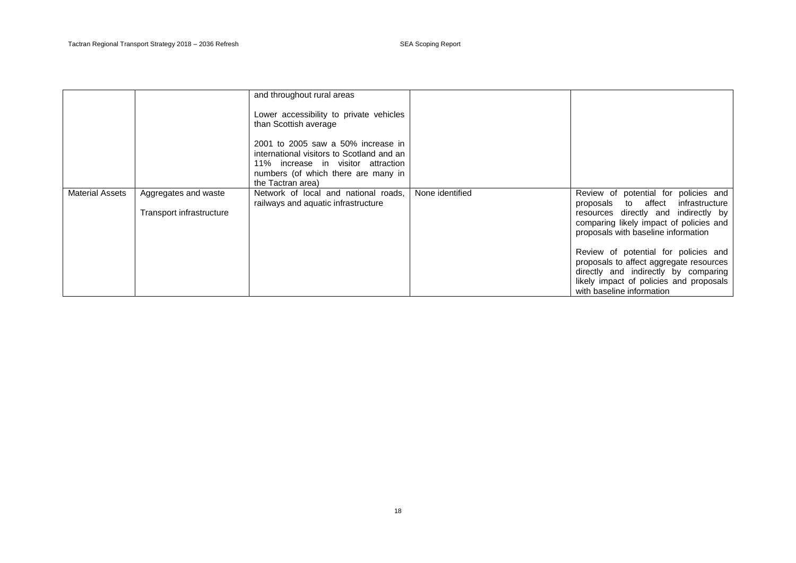|                        |                          | and throughout rural areas                                                                                                                                   |                 |                                                                                                                                                                                                 |
|------------------------|--------------------------|--------------------------------------------------------------------------------------------------------------------------------------------------------------|-----------------|-------------------------------------------------------------------------------------------------------------------------------------------------------------------------------------------------|
|                        |                          | Lower accessibility to private vehicles<br>than Scottish average                                                                                             |                 |                                                                                                                                                                                                 |
|                        |                          | 2001 to 2005 saw a 50% increase in<br>international visitors to Scotland and an<br>11% increase in visitor attraction<br>numbers (of which there are many in |                 |                                                                                                                                                                                                 |
|                        |                          | the Tactran area)                                                                                                                                            |                 |                                                                                                                                                                                                 |
| <b>Material Assets</b> | Aggregates and waste     | Network of local and national roads,<br>railways and aquatic infrastructure                                                                                  | None identified | Review of potential for policies and<br>proposals to affect infrastructure                                                                                                                      |
|                        | Transport infrastructure |                                                                                                                                                              |                 | resources directly and indirectly by<br>comparing likely impact of policies and<br>proposals with baseline information                                                                          |
|                        |                          |                                                                                                                                                              |                 | Review of potential for policies and<br>proposals to affect aggregate resources<br>directly and indirectly by comparing<br>likely impact of policies and proposals<br>with baseline information |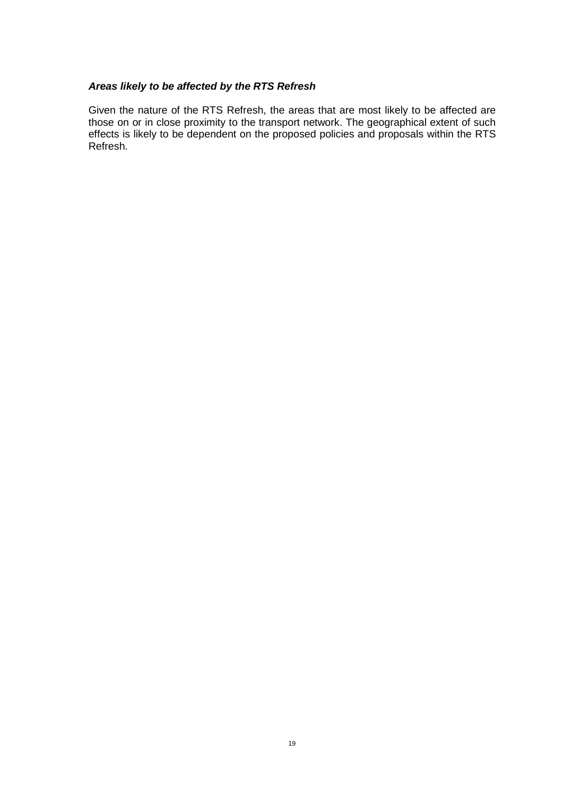### *Areas likely to be affected by the RTS Refresh*

Given the nature of the RTS Refresh, the areas that are most likely to be affected are those on or in close proximity to the transport network. The geographical extent of such effects is likely to be dependent on the proposed policies and proposals within the RTS Refresh.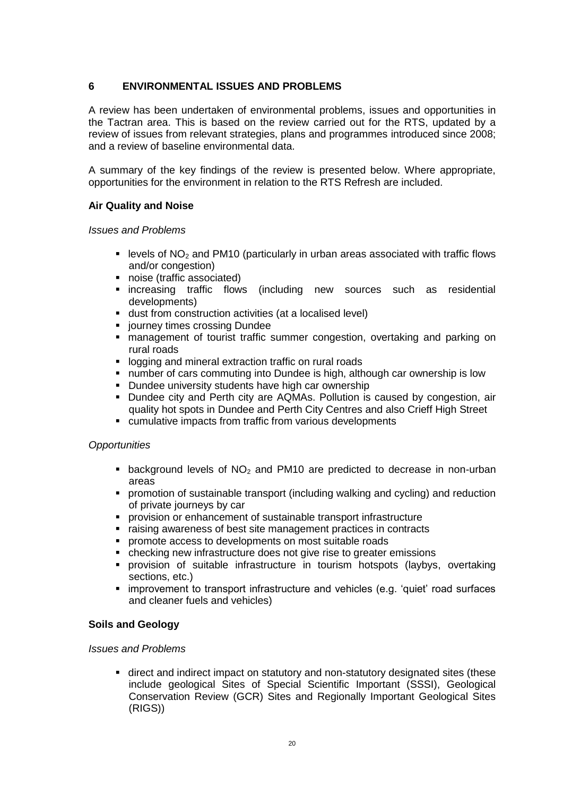### **6 ENVIRONMENTAL ISSUES AND PROBLEMS**

A review has been undertaken of environmental problems, issues and opportunities in the Tactran area. This is based on the review carried out for the RTS, updated by a review of issues from relevant strategies, plans and programmes introduced since 2008; and a review of baseline environmental data.

A summary of the key findings of the review is presented below. Where appropriate, opportunities for the environment in relation to the RTS Refresh are included.

### **Air Quality and Noise**

*Issues and Problems*

- **EXECTE 2015** Levels of NO<sub>2</sub> and PM10 (particularly in urban areas associated with traffic flows and/or congestion)
- noise (traffic associated)
- **Exercise increasing traffic flows (including new sources such as residential** developments)
- dust from construction activities (at a localised level)
- **•** journey times crossing Dundee
- management of tourist traffic summer congestion, overtaking and parking on rural roads
- **-** logging and mineral extraction traffic on rural roads
- number of cars commuting into Dundee is high, although car ownership is low
- **-** Dundee university students have high car ownership
- **Dundee city and Perth city are AQMAs. Pollution is caused by congestion, air** quality hot spots in Dundee and Perth City Centres and also Crieff High Street
- cumulative impacts from traffic from various developments

### *Opportunities*

- **background levels of NO<sub>2</sub>** and PM10 are predicted to decrease in non-urban areas
- promotion of sustainable transport (including walking and cycling) and reduction of private journeys by car
- **P** provision or enhancement of sustainable transport infrastructure
- raising awareness of best site management practices in contracts
- **•** promote access to developments on most suitable roads
- checking new infrastructure does not give rise to greater emissions
- provision of suitable infrastructure in tourism hotspots (laybys, overtaking sections, etc.)
- improvement to transport infrastructure and vehicles (e.g. 'quiet' road surfaces and cleaner fuels and vehicles)

### **Soils and Geology**

### *Issues and Problems*

 direct and indirect impact on statutory and non-statutory designated sites (these include geological Sites of Special Scientific Important (SSSI), Geological Conservation Review (GCR) Sites and Regionally Important Geological Sites (RIGS))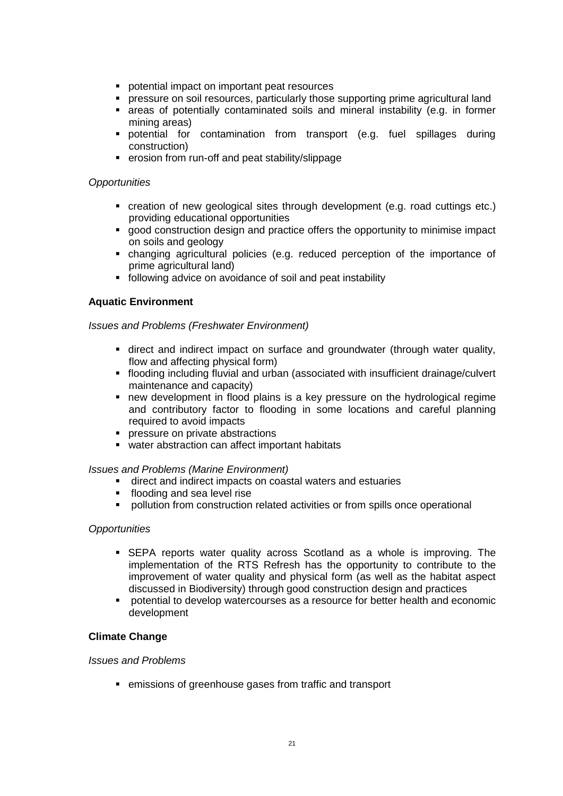- **•** potential impact on important peat resources
- pressure on soil resources, particularly those supporting prime agricultural land
- areas of potentially contaminated soils and mineral instability (e.g. in former mining areas)
- potential for contamination from transport (e.g. fuel spillages during construction)
- erosion from run-off and peat stability/slippage

- creation of new geological sites through development (e.g. road cuttings etc.) providing educational opportunities
- good construction design and practice offers the opportunity to minimise impact on soils and geology
- changing agricultural policies (e.g. reduced perception of the importance of prime agricultural land)
- following advice on avoidance of soil and peat instability

### **Aquatic Environment**

#### *Issues and Problems (Freshwater Environment)*

- direct and indirect impact on surface and groundwater (through water quality, flow and affecting physical form)
- flooding including fluvial and urban (associated with insufficient drainage/culvert maintenance and capacity)
- new development in flood plains is a key pressure on the hydrological regime and contributory factor to flooding in some locations and careful planning required to avoid impacts
- **PEDITE:** pressure on private abstractions
- water abstraction can affect important habitats

#### *Issues and Problems (Marine Environment)*

- direct and indirect impacts on coastal waters and estuaries
- **flooding and sea level rise**
- pollution from construction related activities or from spills once operational

#### *Opportunities*

- SEPA reports water quality across Scotland as a whole is improving. The implementation of the RTS Refresh has the opportunity to contribute to the improvement of water quality and physical form (as well as the habitat aspect discussed in Biodiversity) through good construction design and practices
- potential to develop watercourses as a resource for better health and economic development

#### **Climate Change**

#### *Issues and Problems*

emissions of greenhouse gases from traffic and transport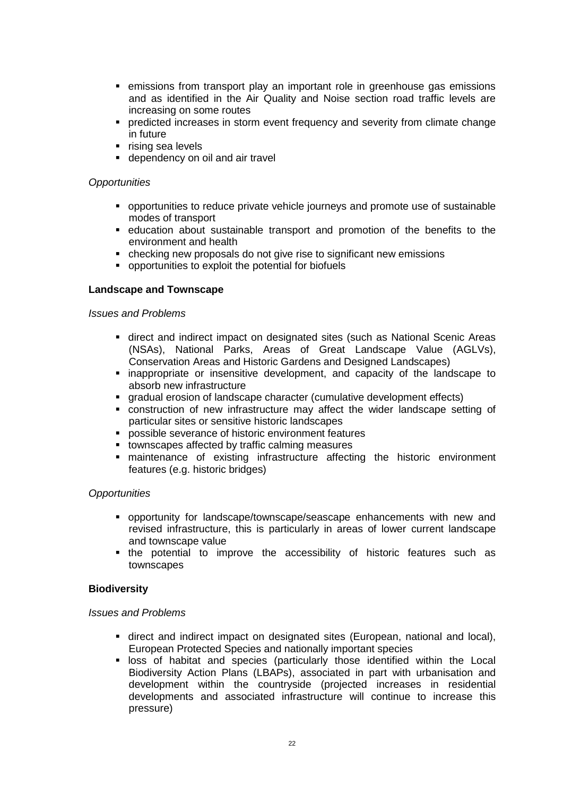- **EXECT** emissions from transport play an important role in greenhouse gas emissions and as identified in the Air Quality and Noise section road traffic levels are increasing on some routes
- **•** predicted increases in storm event frequency and severity from climate change in future
- $\blacksquare$  rising sea levels
- **dependency on oil and air travel**

- opportunities to reduce private vehicle journeys and promote use of sustainable modes of transport
- education about sustainable transport and promotion of the benefits to the environment and health
- checking new proposals do not give rise to significant new emissions
- opportunities to exploit the potential for biofuels

### **Landscape and Townscape**

#### *Issues and Problems*

- direct and indirect impact on designated sites (such as National Scenic Areas (NSAs), National Parks, Areas of Great Landscape Value (AGLVs), Conservation Areas and Historic Gardens and Designed Landscapes)
- inappropriate or insensitive development, and capacity of the landscape to absorb new infrastructure
- gradual erosion of landscape character (cumulative development effects)
- construction of new infrastructure may affect the wider landscape setting of particular sites or sensitive historic landscapes
- **PEDOSSIBLE SEVERANCE OF historic environment features**
- **tiomages affected by traffic calming measures**
- maintenance of existing infrastructure affecting the historic environment features (e.g. historic bridges)

#### *Opportunities*

- opportunity for landscape/townscape/seascape enhancements with new and revised infrastructure, this is particularly in areas of lower current landscape and townscape value
- **the potential to improve the accessibility of historic features such as** townscapes

#### **Biodiversity**

#### *Issues and Problems*

- direct and indirect impact on designated sites (European, national and local), European Protected Species and nationally important species
- **I loss of habitat and species (particularly those identified within the Local** Biodiversity Action Plans (LBAPs), associated in part with urbanisation and development within the countryside (projected increases in residential developments and associated infrastructure will continue to increase this pressure)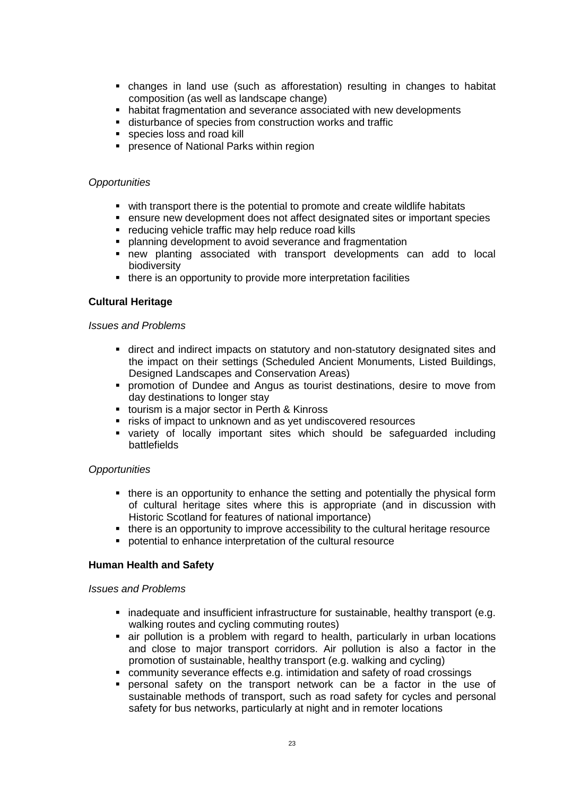- changes in land use (such as afforestation) resulting in changes to habitat composition (as well as landscape change)
- habitat fragmentation and severance associated with new developments
- disturbance of species from construction works and traffic
- species loss and road kill
- **PEDIED FIRE 2015** Parks within region

- with transport there is the potential to promote and create wildlife habitats
- ensure new development does not affect designated sites or important species
- **•** reducing vehicle traffic may help reduce road kills
- **planning development to avoid severance and fragmentation**
- new planting associated with transport developments can add to local biodiversity
- there is an opportunity to provide more interpretation facilities

### **Cultural Heritage**

#### *Issues and Problems*

- direct and indirect impacts on statutory and non-statutory designated sites and the impact on their settings (Scheduled Ancient Monuments, Listed Buildings, Designed Landscapes and Conservation Areas)
- **•** promotion of Dundee and Angus as tourist destinations, desire to move from day destinations to longer stay
- tourism is a major sector in Perth & Kinross
- **F** risks of impact to unknown and as yet undiscovered resources
- variety of locally important sites which should be safeguarded including battlefields

#### *Opportunities*

- there is an opportunity to enhance the setting and potentially the physical form of cultural heritage sites where this is appropriate (and in discussion with Historic Scotland for features of national importance)
- there is an opportunity to improve accessibility to the cultural heritage resource
- potential to enhance interpretation of the cultural resource

#### **Human Health and Safety**

#### *Issues and Problems*

- **·** inadequate and insufficient infrastructure for sustainable, healthy transport (e.g. walking routes and cycling commuting routes)
- air pollution is a problem with regard to health, particularly in urban locations and close to major transport corridors. Air pollution is also a factor in the promotion of sustainable, healthy transport (e.g. walking and cycling)
- community severance effects e.g. intimidation and safety of road crossings
- personal safety on the transport network can be a factor in the use of sustainable methods of transport, such as road safety for cycles and personal safety for bus networks, particularly at night and in remoter locations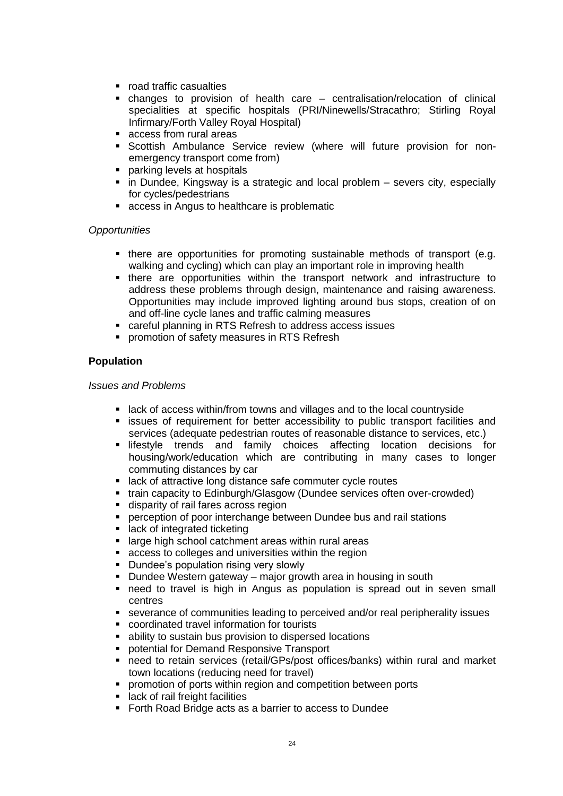- road traffic casualties
- changes to provision of health care centralisation/relocation of clinical specialities at specific hospitals (PRI/Ninewells/Stracathro; Stirling Royal Infirmary/Forth Valley Royal Hospital)
- access from rural areas
- Scottish Ambulance Service review (where will future provision for nonemergency transport come from)
- parking levels at hospitals
- in Dundee, Kingsway is a strategic and local problem severs city, especially for cycles/pedestrians
- access in Angus to healthcare is problematic

- there are opportunities for promoting sustainable methods of transport (e.g. walking and cycling) which can play an important role in improving health
- there are opportunities within the transport network and infrastructure to address these problems through design, maintenance and raising awareness. Opportunities may include improved lighting around bus stops, creation of on and off-line cycle lanes and traffic calming measures
- careful planning in RTS Refresh to address access issues
- **promotion of safety measures in RTS Refresh**

### **Population**

#### *Issues and Problems*

- **Example 2** lack of access within/from towns and villages and to the local countryside
- **Example is sues of requirement for better accessibility to public transport facilities and** services (adequate pedestrian routes of reasonable distance to services, etc.)
- **Ilifestyle trends and family choices affecting location decisions for** housing/work/education which are contributing in many cases to longer commuting distances by car
- **EXECT** lack of attractive long distance safe commuter cycle routes
- train capacity to Edinburgh/Glasgow (Dundee services often over-crowded)
- disparity of rail fares across region
- **perception of poor interchange between Dundee bus and rail stations**
- lack of integrated ticketing
- **EXTERGING 19 ISLE 2015** Islands areas within rural areas
- access to colleges and universities within the region
- Dundee's population rising very slowly
- Dundee Western gateway major growth area in housing in south
- need to travel is high in Angus as population is spread out in seven small centres
- severance of communities leading to perceived and/or real peripherality issues
- coordinated travel information for tourists
- ability to sustain bus provision to dispersed locations
- **potential for Demand Responsive Transport**
- need to retain services (retail/GPs/post offices/banks) within rural and market town locations (reducing need for travel)
- **•** promotion of ports within region and competition between ports
- lack of rail freight facilities
- **Forth Road Bridge acts as a barrier to access to Dundee**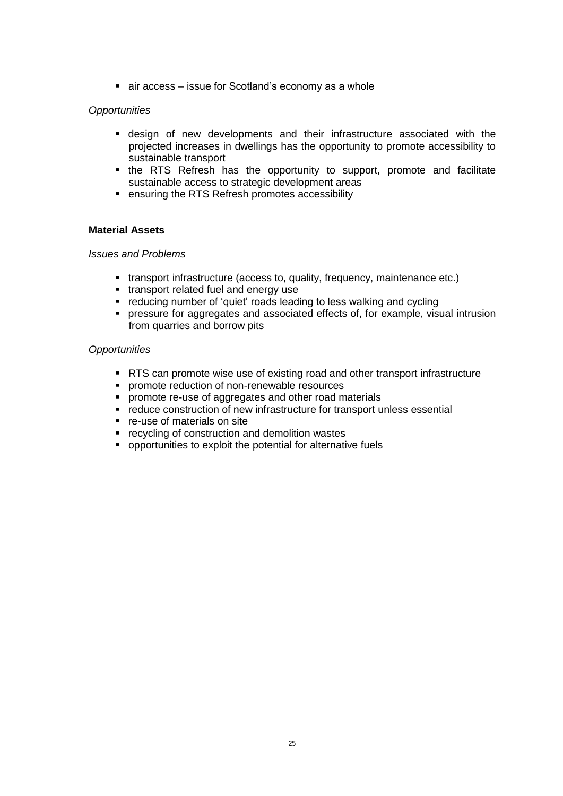■ air access – issue for Scotland's economy as a whole

### *Opportunities*

- design of new developments and their infrastructure associated with the projected increases in dwellings has the opportunity to promote accessibility to sustainable transport
- the RTS Refresh has the opportunity to support, promote and facilitate sustainable access to strategic development areas
- ensuring the RTS Refresh promotes accessibility

### **Material Assets**

#### *Issues and Problems*

- transport infrastructure (access to, quality, frequency, maintenance etc.)
- **transport related fuel and energy use**
- reducing number of 'quiet' roads leading to less walking and cycling
- pressure for aggregates and associated effects of, for example, visual intrusion from quarries and borrow pits

### *Opportunities*

- RTS can promote wise use of existing road and other transport infrastructure
- **PEDIETE:** promote reduction of non-renewable resources
- promote re-use of aggregates and other road materials
- reduce construction of new infrastructure for transport unless essential
- re-use of materials on site
- **F** recycling of construction and demolition wastes
- opportunities to exploit the potential for alternative fuels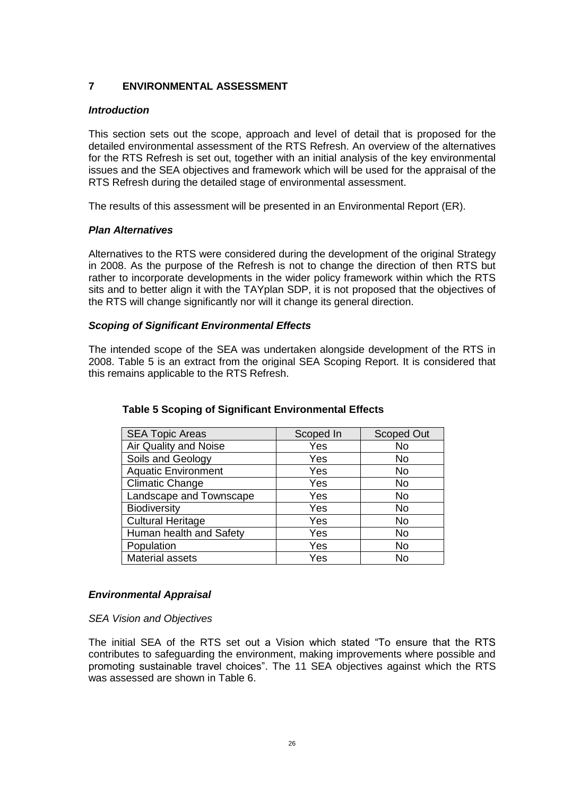### **7 ENVIRONMENTAL ASSESSMENT**

#### *Introduction*

This section sets out the scope, approach and level of detail that is proposed for the detailed environmental assessment of the RTS Refresh. An overview of the alternatives for the RTS Refresh is set out, together with an initial analysis of the key environmental issues and the SEA objectives and framework which will be used for the appraisal of the RTS Refresh during the detailed stage of environmental assessment.

The results of this assessment will be presented in an Environmental Report (ER).

### *Plan Alternatives*

Alternatives to the RTS were considered during the development of the original Strategy in 2008. As the purpose of the Refresh is not to change the direction of then RTS but rather to incorporate developments in the wider policy framework within which the RTS sits and to better align it with the TAYplan SDP, it is not proposed that the objectives of the RTS will change significantly nor will it change its general direction.

### *Scoping of Significant Environmental Effects*

The intended scope of the SEA was undertaken alongside development of the RTS in 2008. Table 5 is an extract from the original SEA Scoping Report. It is considered that this remains applicable to the RTS Refresh.

| <b>SEA Topic Areas</b>     | Scoped In | <b>Scoped Out</b> |
|----------------------------|-----------|-------------------|
| Air Quality and Noise      | Yes       | No                |
| Soils and Geology          | Yes       | No                |
| <b>Aquatic Environment</b> | Yes       | No                |
| <b>Climatic Change</b>     | Yes       | No                |
| Landscape and Townscape    | Yes       | No                |
| <b>Biodiversity</b>        | Yes       | No                |
| <b>Cultural Heritage</b>   | Yes       | No                |
| Human health and Safety    | Yes       | No                |
| Population                 | Yes       | No                |
| Material assets            | Yes       | No                |

### **Table 5 Scoping of Significant Environmental Effects**

#### *Environmental Appraisal*

#### *SEA Vision and Objectives*

The initial SEA of the RTS set out a Vision which stated "To ensure that the RTS contributes to safeguarding the environment, making improvements where possible and promoting sustainable travel choices". The 11 SEA objectives against which the RTS was assessed are shown in Table 6.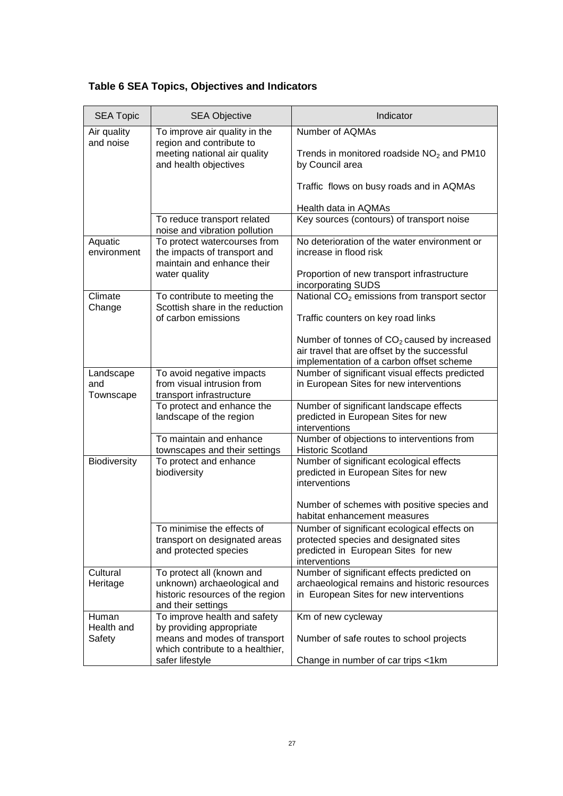# **Table 6 SEA Topics, Objectives and Indicators**

| <b>SEA Topic</b>              | <b>SEA Objective</b>                                                                                               | Indicator                                                                                                                                     |
|-------------------------------|--------------------------------------------------------------------------------------------------------------------|-----------------------------------------------------------------------------------------------------------------------------------------------|
| Air quality<br>and noise      | To improve air quality in the<br>region and contribute to<br>meeting national air quality<br>and health objectives | Number of AQMAs<br>Trends in monitored roadside $NO2$ and PM10<br>by Council area                                                             |
|                               |                                                                                                                    | Traffic flows on busy roads and in AQMAs                                                                                                      |
|                               |                                                                                                                    | Health data in AQMAs                                                                                                                          |
|                               | To reduce transport related<br>noise and vibration pollution                                                       | Key sources (contours) of transport noise                                                                                                     |
| Aquatic<br>environment        | To protect watercourses from<br>the impacts of transport and<br>maintain and enhance their                         | No deterioration of the water environment or<br>increase in flood risk                                                                        |
|                               | water quality                                                                                                      | Proportion of new transport infrastructure<br>incorporating SUDS                                                                              |
| Climate<br>Change             | To contribute to meeting the<br>Scottish share in the reduction                                                    | National CO <sub>2</sub> emissions from transport sector                                                                                      |
|                               | of carbon emissions                                                                                                | Traffic counters on key road links                                                                                                            |
|                               |                                                                                                                    | Number of tonnes of $CO2$ caused by increased<br>air travel that are offset by the successful<br>implementation of a carbon offset scheme     |
| Landscape<br>and<br>Townscape | To avoid negative impacts<br>from visual intrusion from<br>transport infrastructure                                | Number of significant visual effects predicted<br>in European Sites for new interventions                                                     |
|                               | To protect and enhance the<br>landscape of the region                                                              | Number of significant landscape effects<br>predicted in European Sites for new<br>interventions                                               |
|                               | To maintain and enhance<br>townscapes and their settings                                                           | Number of objections to interventions from<br><b>Historic Scotland</b>                                                                        |
| Biodiversity                  | To protect and enhance<br>biodiversity                                                                             | Number of significant ecological effects<br>predicted in European Sites for new<br>interventions                                              |
|                               |                                                                                                                    | Number of schemes with positive species and<br>habitat enhancement measures                                                                   |
|                               | To minimise the effects of<br>transport on designated areas<br>and protected species                               | Number of significant ecological effects on<br>protected species and designated sites<br>predicted in European Sites for new<br>interventions |
| Cultural                      | To protect all (known and                                                                                          | Number of significant effects predicted on                                                                                                    |
| Heritage                      | unknown) archaeological and<br>historic resources of the region<br>and their settings                              | archaeological remains and historic resources<br>in European Sites for new interventions                                                      |
| Human                         | To improve health and safety                                                                                       | Km of new cycleway                                                                                                                            |
| Health and<br>Safety          | by providing appropriate<br>means and modes of transport<br>which contribute to a healthier,                       | Number of safe routes to school projects                                                                                                      |
|                               | safer lifestyle                                                                                                    | Change in number of car trips <1km                                                                                                            |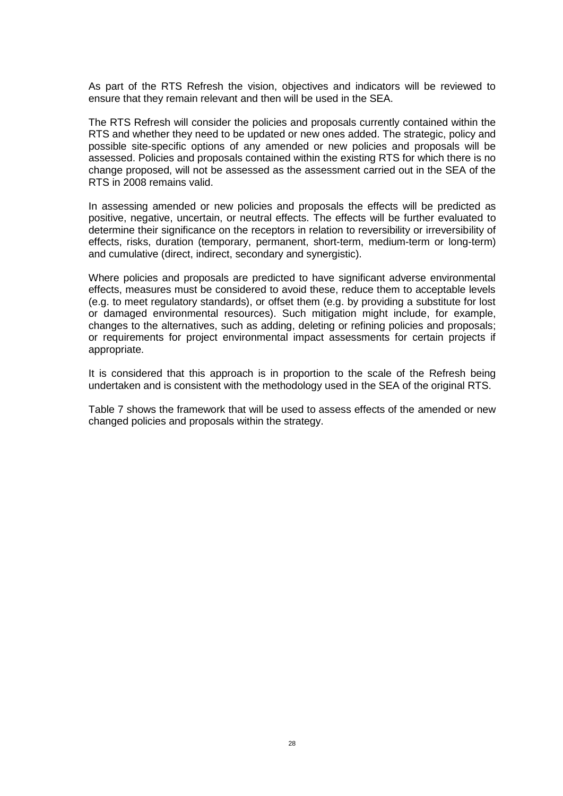As part of the RTS Refresh the vision, objectives and indicators will be reviewed to ensure that they remain relevant and then will be used in the SEA.

The RTS Refresh will consider the policies and proposals currently contained within the RTS and whether they need to be updated or new ones added. The strategic, policy and possible site-specific options of any amended or new policies and proposals will be assessed. Policies and proposals contained within the existing RTS for which there is no change proposed, will not be assessed as the assessment carried out in the SEA of the RTS in 2008 remains valid.

In assessing amended or new policies and proposals the effects will be predicted as positive, negative, uncertain, or neutral effects. The effects will be further evaluated to determine their significance on the receptors in relation to reversibility or irreversibility of effects, risks, duration (temporary, permanent, short-term, medium-term or long-term) and cumulative (direct, indirect, secondary and synergistic).

Where policies and proposals are predicted to have significant adverse environmental effects, measures must be considered to avoid these, reduce them to acceptable levels (e.g. to meet regulatory standards), or offset them (e.g. by providing a substitute for lost or damaged environmental resources). Such mitigation might include, for example, changes to the alternatives, such as adding, deleting or refining policies and proposals; or requirements for project environmental impact assessments for certain projects if appropriate.

It is considered that this approach is in proportion to the scale of the Refresh being undertaken and is consistent with the methodology used in the SEA of the original RTS.

Table 7 shows the framework that will be used to assess effects of the amended or new changed policies and proposals within the strategy.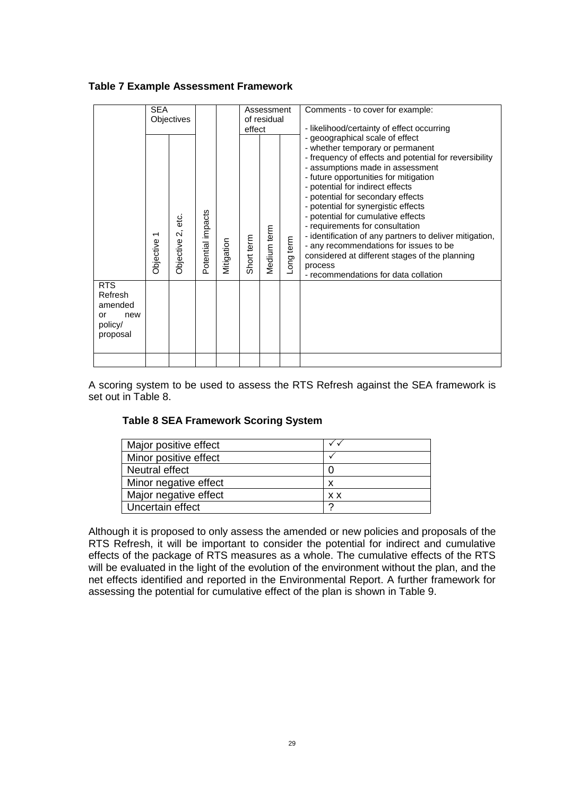|                                                                      | <b>SEA</b><br>Objectives                     |                        |                   | Assessment<br>of residual<br>effect |            |             | Comments - to cover for example:<br>- likelihood/certainty of effect occurring |                                                                                                                                                                                                                                                                                                                                                                                                                                                                                                                                                                                                               |
|----------------------------------------------------------------------|----------------------------------------------|------------------------|-------------------|-------------------------------------|------------|-------------|--------------------------------------------------------------------------------|---------------------------------------------------------------------------------------------------------------------------------------------------------------------------------------------------------------------------------------------------------------------------------------------------------------------------------------------------------------------------------------------------------------------------------------------------------------------------------------------------------------------------------------------------------------------------------------------------------------|
|                                                                      | $\overline{\phantom{0}}$<br><b>Objective</b> | ن<br>#<br>Objective 2, | Potential impacts | Mitigation                          | Short term | Medium term | Long term                                                                      | - geoographical scale of effect<br>- whether temporary or permanent<br>- frequency of effects and potential for reversibility<br>- assumptions made in assessment<br>- future opportunities for mitigation<br>- potential for indirect effects<br>- potential for secondary effects<br>- potential for synergistic effects<br>- potential for cumulative effects<br>- requirements for consultation<br>- identification of any partners to deliver mitigation,<br>- any recommendations for issues to be<br>considered at different stages of the planning<br>process<br>- recommendations for data collation |
| <b>RTS</b><br>Refresh<br>amended<br>new<br>or<br>policy/<br>proposal |                                              |                        |                   |                                     |            |             |                                                                                |                                                                                                                                                                                                                                                                                                                                                                                                                                                                                                                                                                                                               |
|                                                                      |                                              |                        |                   |                                     |            |             |                                                                                |                                                                                                                                                                                                                                                                                                                                                                                                                                                                                                                                                                                                               |

### **Table 7 Example Assessment Framework**

A scoring system to be used to assess the RTS Refresh against the SEA framework is set out in Table 8.

#### **Table 8 SEA Framework Scoring System**

| Major positive effect |     |
|-----------------------|-----|
| Minor positive effect |     |
| Neutral effect        |     |
| Minor negative effect | х   |
| Major negative effect | x x |
| Uncertain effect      | ◠   |

Although it is proposed to only assess the amended or new policies and proposals of the RTS Refresh, it will be important to consider the potential for indirect and cumulative effects of the package of RTS measures as a whole. The cumulative effects of the RTS will be evaluated in the light of the evolution of the environment without the plan, and the net effects identified and reported in the Environmental Report. A further framework for assessing the potential for cumulative effect of the plan is shown in Table 9.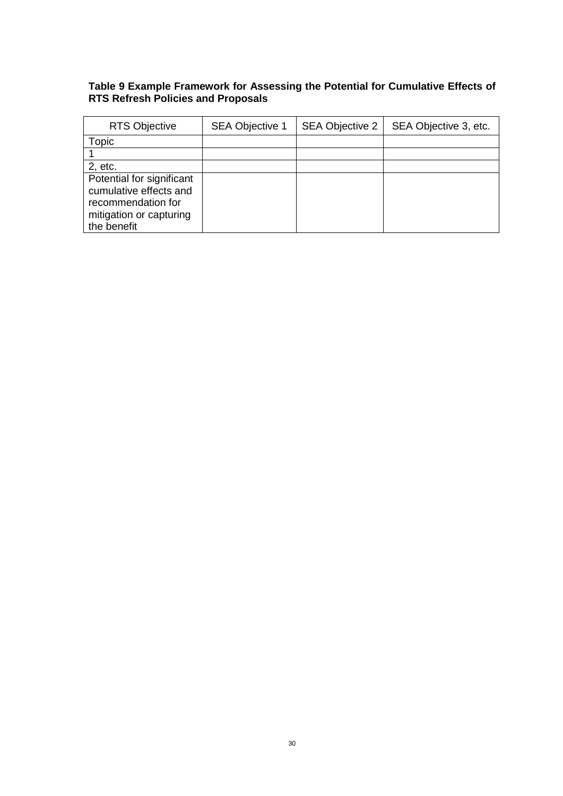### **Table 9 Example Framework for Assessing the Potential for Cumulative Effects of RTS Refresh Policies and Proposals**

| <b>RTS Objective</b>                                                                                                | <b>SEA Objective 1</b> | <b>SEA Objective 2</b> | SEA Objective 3, etc. |
|---------------------------------------------------------------------------------------------------------------------|------------------------|------------------------|-----------------------|
| Topic                                                                                                               |                        |                        |                       |
|                                                                                                                     |                        |                        |                       |
| 2, etc.                                                                                                             |                        |                        |                       |
| Potential for significant<br>cumulative effects and<br>recommendation for<br>mitigation or capturing<br>the benefit |                        |                        |                       |